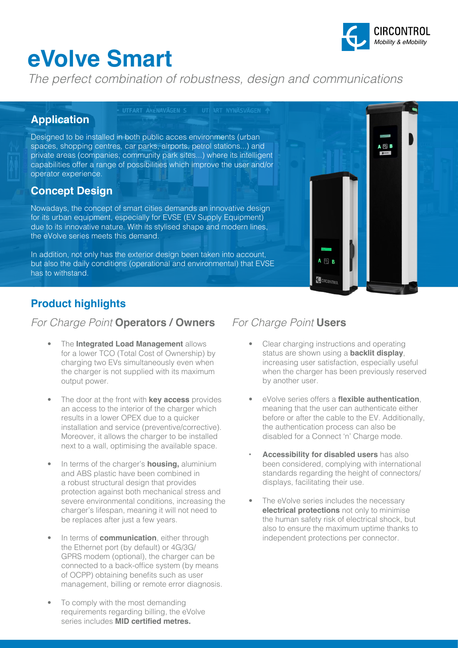# **eVolve Smart**



*The perfect combination of robustness, design and communications*

### **Application**

Designed to be installed in both public acces environments (urban spaces, shopping centres, car parks, airports, petrol stations...) and private areas (companies, community park sites...) where its intelligent capabilities offer a range of possibilities which improve the user and/or operator experience.

### **Concept Design**

Nowadays, the concept of smart cities demands an innovative design for its urban equipment, especially for EVSE (EV Supply Equipment) due to its innovative nature. With its stylised shape and modern lines, the eVolve series meets this demand.

In addition, not only has the exterior design been taken into account, but also the daily conditions (operational and environmental) that EVSE has to withstand.



### **Product highlights**

### *For Charge Point* **Operators / Owners** *For Charge Point* **Users**

- The **Integrated Load Management** allows for a lower TCO (Total Cost of Ownership) by charging two EVs simultaneously even when the charger is not supplied with its maximum output power.
- The door at the front with **key access** provides an access to the interior of the charger which results in a lower OPEX due to a quicker installation and service (preventive/corrective). Moreover, it allows the charger to be installed next to a wall, optimising the available space.
- In terms of the charger's **housing,** aluminium and ABS plastic have been combined in a robust structural design that provides protection against both mechanical stress and severe environmental conditions, increasing the charger's lifespan, meaning it will not need to be replaces after just a few years.
- In terms of **communication**, either through the Ethernet port (by default) or 4G/3G/ GPRS modem (optional), the charger can be connected to a back-office system (by means of OCPP) obtaining benefits such as user management, billing or remote error diagnosis.
- To comply with the most demanding requirements regarding billing, the eVolve series includes **MID certified metres.**

- Clear charging instructions and operating status are shown using a **backlit display**, increasing user satisfaction, especially useful when the charger has been previously reserved by another user.
- eVolve series offers a **flexible authentication**, meaning that the user can authenticate either before or after the cable to the EV. Additionally, the authentication process can also be disabled for a Connect 'n' Charge mode.
- **• Accessibility for disabled users** has also been considered, complying with international standards regarding the height of connectors/ displays, facilitating their use.
- The eVolve series includes the necessary **electrical protections** not only to minimise the human safety risk of electrical shock, but also to ensure the maximum uptime thanks to independent protections per connector.